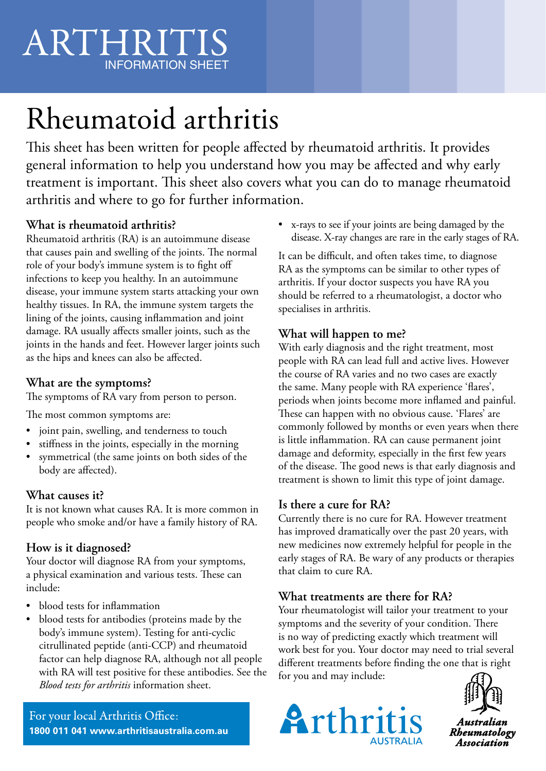## ARTHRITIS INFORMATION SHEET

# Rheumatoid arthritis ARTHRITIS

This sheet has been written for people affected by rheumatoid arthritis. It provides general information to help you understand how you may be affected and why early treatment is important. This sheet also covers what you can do to manage rheumatoid arthritis and where to go for further information.

#### **What is rheumatoid arthritis?**

Rheumatoid arthritis (RA) is an autoimmune disease that causes pain and swelling of the joints. The normal role of your body's immune system is to fight off infections to keep you healthy. In an autoimmune disease, your immune system starts attacking your own healthy tissues. In RA, the immune system targets the lining of the joints, causing inflammation and joint damage. RA usually affects smaller joints, such as the joints in the hands and feet. However larger joints such as the hips and knees can also be affected.

#### **What are the symptoms?**

The symptoms of RA vary from person to person.

The most common symptoms are:

- joint pain, swelling, and tenderness to touch
- stiffness in the joints, especially in the morning
- symmetrical (the same joints on both sides of the body are affected).

#### **What causes it?**

It is not known what causes RA. It is more common in people who smoke and/or have a family history of RA.

#### **How is it diagnosed?**

Your doctor will diagnose RA from your symptoms, a physical examination and various tests. These can include:

- blood tests for inflammation
- blood tests for antibodies (proteins made by the body's immune system). Testing for anti-cyclic citrullinated peptide (anti-CCP) and rheumatoid factor can help diagnose RA, although not all people with RA will test positive for these antibodies. See the *Blood tests for arthritis* information sheet.

For your local Arthritis Office: **1800 011 041 www.arthritisaustralia.com.au** • x-rays to see if your joints are being damaged by the disease. X-ray changes are rare in the early stages of RA.

It can be difficult, and often takes time, to diagnose RA as the symptoms can be similar to other types of arthritis. If your doctor suspects you have RA you should be referred to a rheumatologist, a doctor who specialises in arthritis.

#### **What will happen to me?**

With early diagnosis and the right treatment, most people with RA can lead full and active lives. However the course of RA varies and no two cases are exactly the same. Many people with RA experience 'flares', periods when joints become more inflamed and painful. These can happen with no obvious cause. 'Flares' are commonly followed by months or even years when there is little inflammation. RA can cause permanent joint damage and deformity, especially in the first few years of the disease. The good news is that early diagnosis and treatment is shown to limit this type of joint damage.

#### **Is there a cure for RA?**

Currently there is no cure for RA. However treatment has improved dramatically over the past 20 years, with new medicines now extremely helpful for people in the early stages of RA. Be wary of any products or therapies that claim to cure RA.

#### **What treatments are there for RA?**

Your rheumatologist will tailor your treatment to your symptoms and the severity of your condition. There is no way of predicting exactly which treatment will work best for you. Your doctor may need to trial several different treatments before finding the one that is right for you and may include: